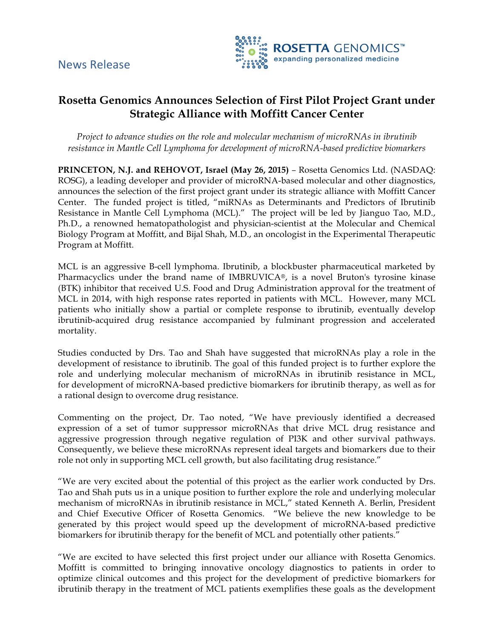

# **Rosetta Genomics Announces Selection of First Pilot Project Grant under Strategic Alliance with Moffitt Cancer Center**

*Project to advance studies on the role and molecular mechanism of microRNAs in ibrutinib resistance in Mantle Cell Lymphoma for development of microRNA-based predictive biomarkers*

**PRINCETON, N.J. and REHOVOT, Israel (May 26, 2015)** *–* Rosetta Genomics Ltd. (NASDAQ: ROSG), a leading developer and provider of microRNA-based molecular and other diagnostics, announces the selection of the first project grant under its strategic alliance with Moffitt Cancer Center. The funded project is titled, "miRNAs as Determinants and Predictors of Ibrutinib Resistance in Mantle Cell Lymphoma (MCL)." The project will be led by Jianguo Tao, M.D., Ph.D., a renowned hematopathologist and physician-scientist at the Molecular and Chemical Biology Program at Moffitt, and Bijal Shah, M.D., an oncologist in the Experimental Therapeutic Program at Moffitt.

MCL is an aggressive B-cell lymphoma. Ibrutinib, a blockbuster pharmaceutical marketed by Pharmacyclics under the brand name of IMBRUVICA®, is a novel Bruton's tyrosine kinase (BTK) inhibitor that received U.S. Food and Drug Administration approval for the treatment of MCL in 2014, with high response rates reported in patients with MCL. However, many MCL patients who initially show a partial or complete response to ibrutinib, eventually develop ibrutinib-acquired drug resistance accompanied by fulminant progression and accelerated mortality.

Studies conducted by Drs. Tao and Shah have suggested that microRNAs play a role in the development of resistance to ibrutinib. The goal of this funded project is to further explore the role and underlying molecular mechanism of microRNAs in ibrutinib resistance in MCL, for development of microRNA-based predictive biomarkers for ibrutinib therapy, as well as for a rational design to overcome drug resistance.

Commenting on the project, Dr. Tao noted, "We have previously identified a decreased expression of a set of tumor suppressor microRNAs that drive MCL drug resistance and aggressive progression through negative regulation of PI3K and other survival pathways. Consequently, we believe these microRNAs represent ideal targets and biomarkers due to their role not only in supporting MCL cell growth, but also facilitating drug resistance."

"We are very excited about the potential of this project as the earlier work conducted by Drs. Tao and Shah puts us in a unique position to further explore the role and underlying molecular mechanism of microRNAs in ibrutinib resistance in MCL," stated Kenneth A. Berlin, President and Chief Executive Officer of Rosetta Genomics. "We believe the new knowledge to be generated by this project would speed up the development of microRNA-based predictive biomarkers for ibrutinib therapy for the benefit of MCL and potentially other patients."

"We are excited to have selected this first project under our alliance with Rosetta Genomics. Moffitt is committed to bringing innovative oncology diagnostics to patients in order to optimize clinical outcomes and this project for the development of predictive biomarkers for ibrutinib therapy in the treatment of MCL patients exemplifies these goals as the development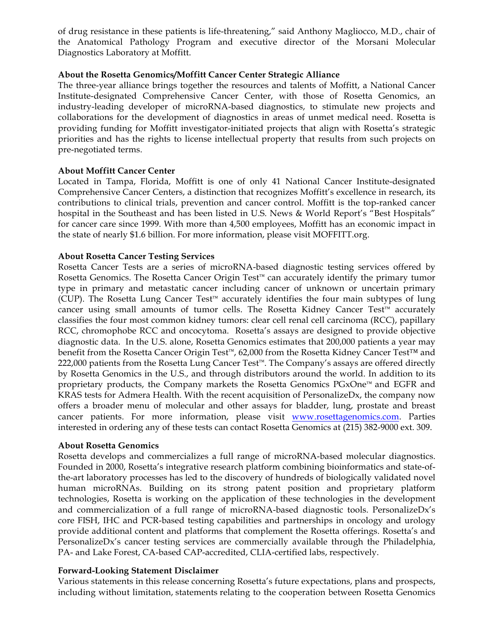of drug resistance in these patients is life-threatening," said Anthony Magliocco, M.D., chair of the Anatomical Pathology Program and executive director of the Morsani Molecular Diagnostics Laboratory at Moffitt.

# **About the Rosetta Genomics/Moffitt Cancer Center Strategic Alliance**

The three-year alliance brings together the resources and talents of Moffitt, a National Cancer Institute-designated Comprehensive Cancer Center, with those of Rosetta Genomics, an industry-leading developer of microRNA-based diagnostics, to stimulate new projects and collaborations for the development of diagnostics in areas of unmet medical need. Rosetta is providing funding for Moffitt investigator-initiated projects that align with Rosetta's strategic priorities and has the rights to license intellectual property that results from such projects on pre-negotiated terms.

# **About Moffitt Cancer Center**

Located in Tampa, Florida, Moffitt is one of only 41 National Cancer Institute-designated Comprehensive Cancer Centers, a distinction that recognizes Moffitt's excellence in research, its contributions to clinical trials, prevention and cancer control. Moffitt is the top-ranked cancer hospital in the Southeast and has been listed in U.S. News & World Report's "Best Hospitals" for cancer care since 1999. With more than 4,500 employees, Moffitt has an economic impact in the state of nearly \$1.6 billion. For more information, please visit MOFFITT.org.

# **About Rosetta Cancer Testing Services**

Rosetta Cancer Tests are a series of microRNA-based diagnostic testing services offered by Rosetta Genomics. The Rosetta Cancer Origin Test™ can accurately identify the primary tumor type in primary and metastatic cancer including cancer of unknown or uncertain primary (CUP). The Rosetta Lung Cancer Test<sup>™</sup> accurately identifies the four main subtypes of lung cancer using small amounts of tumor cells. The Rosetta Kidney Cancer Test™ accurately classifies the four most common kidney tumors: clear cell renal cell carcinoma (RCC), papillary RCC, chromophobe RCC and oncocytoma. Rosetta's assays are designed to provide objective diagnostic data. In the U.S. alone, Rosetta Genomics estimates that 200,000 patients a year may benefit from the Rosetta Cancer Origin Test™, 62,000 from the Rosetta Kidney Cancer Test™ and 222,000 patients from the Rosetta Lung Cancer Test™. The Company's assays are offered directly by Rosetta Genomics in the U.S., and through distributors around the world. In addition to its proprietary products, the Company markets the Rosetta Genomics PGxOne™ and EGFR and KRAS tests for Admera Health. With the recent acquisition of PersonalizeDx, the company now offers a broader menu of molecular and other assays for bladder, lung, prostate and breast cancer patients. For more information, please visit www.rosettagenomics.com. Parties interested in ordering any of these tests can contact Rosetta Genomics at (215) 382-9000 ext. 309.

### **About Rosetta Genomics**

Rosetta develops and commercializes a full range of microRNA-based molecular diagnostics. Founded in 2000, Rosetta's integrative research platform combining bioinformatics and state-ofthe-art laboratory processes has led to the discovery of hundreds of biologically validated novel human microRNAs. Building on its strong patent position and proprietary platform technologies, Rosetta is working on the application of these technologies in the development and commercialization of a full range of microRNA-based diagnostic tools. PersonalizeDx's core FISH, IHC and PCR-based testing capabilities and partnerships in oncology and urology provide additional content and platforms that complement the Rosetta offerings. Rosetta's and PersonalizeDx's cancer testing services are commercially available through the Philadelphia, PA- and Lake Forest, CA-based CAP-accredited, CLIA-certified labs, respectively.

### **Forward-Looking Statement Disclaimer**

Various statements in this release concerning Rosetta's future expectations, plans and prospects, including without limitation, statements relating to the cooperation between Rosetta Genomics